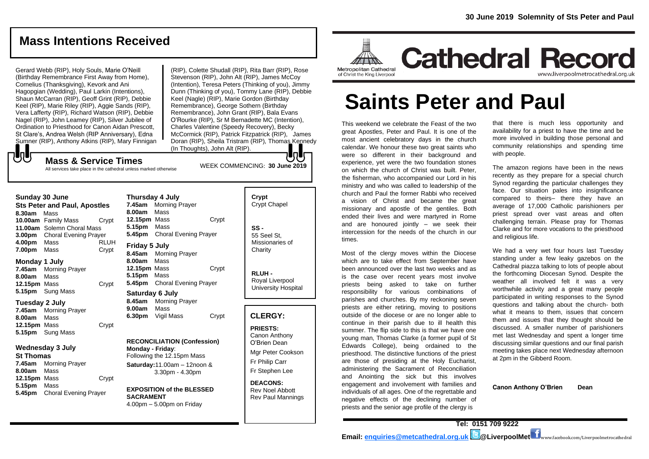# **Mass Intentions Received**

Gerard Webb (RIP), Holy Souls, Marie O'Neill (Birthday Remembrance First Away from Home), Cornelius (Thanksgiving), Kevork and Ani Hagopgian (Wedding), Paul Larkin (Intentions), Shaun McCarran (RIP), Geoff Grint (RIP), Debbie Keel (RIP), Marie Riley (RIP), Aggie Sands (RIP), Vera Lafferty (RIP), Richard Watson (RIP), Debbie Nagel (RIP), John Leamey (RIP), Silver Jubilee of Ordination to Priesthood for Canon Aidan Prescott, St Clare's, Andrea Welsh (RIP Anniversary), Edna Sumner (RIP), Anthony Atkins (RIP), Mary Finnigan

(RIP), Colette Shudall (RIP), Rita Barr (RIP), Rose Stevenson (RIP), John Alt (RIP), James McCov (Intention), Teresa Peters (Thinking of you), Jimmy Dunn (Thinking of you), Tommy Lane (RIP), Debbie Keel (Nagle) (RIP), Marie Gordon (Birthday Remembrance), George Sothern (Birthday Remembrance), John Grant (RIP), Bala Evans O'Rourke (RIP), Sr M Bernadette MC (Intention), Charles Valentine (Speedy Recovery), Becky McCormick (RIP), Patrick Fitzpatrick (RIP), James Doran (RIP), Sheila Tristram (RIP), Thomas Kennedy (In Thoughts), John Alt (RIP).

WEEK COMMENCING: **30 June 2019**

## もし **Mass & Service Times**

All services take place in the cathedral unless marked otherwise

### **Sunday 30 June**

**Sts Peter and Paul, Apostles 8.30am** Mass **10.00am** Family Mass Crypt **11.00am** Solemn Choral Mass **3.00pm** Choral Evening Prayer **4.00pm** Mass RLUH **7.00pm** Mass Crypt

## **Monday 1 July**

**7.45am** Morning Prayer **8.00am** Mass **12.15pm** Mass Crypt **5.15pm** Sung Mass

### **Tuesday 2 July**

**7.45am** Morning Prayer **8.00am** Mass **12.15pm** Mass Crypt **5.15pm** Sung Mass

## **Wednesday 3 July**

### **St Thomas**

**7.45am** Morning Prayer **8.00am** Mass **12.15pm** Mass Crypt **5.15pm** Mass **5.45pm** Choral Evening Prayer

**Thursday 4 July 7.45am** Morning Prayer **8.00am** Mass **12.15pm** Mass Crypt **5.15pm** Mass **5.45pm** Choral Evening Prayer **Friday 5 July 8.45am** Morning Prayer **8.00am** Mass **12.15pm** Mass Crypt **5.15pm** Mass **5.45pm** Choral Evening Prayer

## **Saturday 6 July 8.45am** Morning Prayer **9.00am** Mass **6.30pm** Vigil Mass Crypt

#### **RECONCILIATION (Confession) Monday - Friday**:

Following the 12.15pm Mass **Saturday:**11.00am – 12noon & 3.30pm - 4.30pm

### **EXPOSITION of the BLESSED SACRAMENT** 4.00pm – 5.00pm on Friday

# **Crypt**  Crypt Chapel **SS -** 55 Seel St, Missionaries of **Charity**

**RLUH -** Royal Liverpool University Hospital

## **CLERGY:**

**PRIESTS:** Canon Anthony O'Brien *Dean* Mgr Peter Cookson Fr Philip Carr Fr Stephen Lee

### **DEACONS:** Rev Noel Abbott Rev Paul Mannings



**Saints Peter and Paul**

This weekend we celebrate the Feast of the two great Apostles, Peter and Paul. It is one of the most ancient celebratory days in the church calendar. We honour these two great saints who were so different in their background and experience, yet were the two foundation stones on which the church of Christ was built. Peter, the fisherman, who accompanied our Lord in his ministry and who was called to leadership of the church and Paul the former Rabbi who received a vision of Christ and became the great missionary and apostle of the gentiles. Both ended their lives and were martyred in Rome and are honoured jointly – we seek their intercession for the needs of the church in our times.

Most of the clergy moves within the Diocese which are to take effect from September have been announced over the last two weeks and as is the case over recent years most involve priests being asked to take on further responsibility for various combinations of parishes and churches. By my reckoning seven priests are either retiring, moving to positions outside of the diocese or are no longer able to continue in their parish due to ill health this summer. The flip side to this is that we have one young man, Thomas Clarke (a former pupil of St Edwards College), being ordained to the priesthood. The distinctive functions of the priest are those of presiding at the Holy Eucharist, administering the Sacrament of Reconciliation and Anointing the sick but this involves engagement and involvement with families and individuals of all ages. One of the regrettable and negative effects of the declining number of priests and the senior age profile of the clergy is

that there is much less opportunity and availability for a priest to have the time and be more involved in building those personal and community relationships and spending time with people.

The amazon regions have been in the news recently as they prepare for a special church Synod regarding the particular challenges they face. Our situation pales into insignificance compared to theirs– there they have an average of 17,000 Catholic parishioners per priest spread over vast areas and often challenging terrain. Please pray for Thomas Clarke and for more vocations to the priesthood and religious life.

We had a very wet four hours last Tuesday standing under a few leaky gazebos on the Cathedral piazza talking to lots of people about the forthcoming Diocesan Synod. Despite the weather all involved felt it was a very worthwhile activity and a great many people participated in writing responses to the Synod questions and talking about the church- both what it means to them, issues that concern them and issues that they thought should be discussed. A smaller number of parishioners met last Wednesday and spent a longer time discussing similar questions and our final parish meeting takes place next Wednesday afternoon at 2pm in the Gibberd Room.

**Canon Anthony O'Brien Dean**